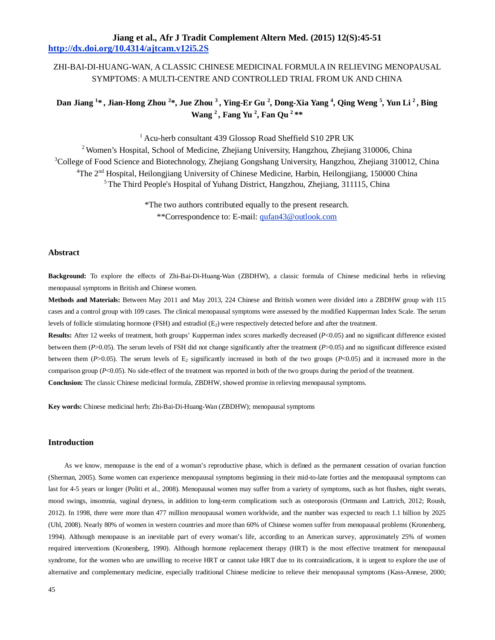# ZHI-BAI-DI-HUANG-WAN, A CLASSIC CHINESE MEDICINAL FORMULA IN RELIEVING MENOPAUSAL SYMPTOMS: A MULTI-CENTRE AND CONTROLLED TRIAL FROM UK AND CHINA

# Dan Jiang <sup>1</sup>\* , Jian-Hong Zhou <sup>2</sup>\*, Jue Zhou <sup>3</sup> , Ying-Er Gu <sup>2</sup>, Dong-Xia Yang <sup>4</sup>, Qing Weng <sup>5</sup>, Yun Li <sup>2</sup> , Bing **Wang <sup>2</sup> , Fang Yu <sup>2</sup> , Fan Qu <sup>2</sup> \*\***

<sup>1</sup> Acu-herb consultant 439 Glossop Road Sheffield S10 2PR UK

<sup>2</sup>Women's Hospital, School of Medicine, Zhejiang University, Hangzhou, Zhejiang 310006, China <sup>3</sup>College of Food Science and Biotechnology, Zhejiang Gongshang University, Hangzhou, Zhejiang 310012, China <sup>4</sup>The 2<sup>nd</sup> Hospital, Heilongjiang University of Chinese Medicine, Harbin, Heilongjiang, 150000 China <sup>5</sup>The Third People's Hospital of Yuhang District, Hangzhou, Zhejiang, 311115, China

> \*The two authors contributed equally to the present research. \*\*Correspondence to: E-mail: [qufan43@outlook.com](mailto:qufan43@outlook.com)

## **Abstract**

**Background:** To explore the effects of Zhi-Bai-Di-Huang-Wan (ZBDHW), a classic formula of Chinese medicinal herbs in relieving menopausal symptoms in British and Chinese women.

**Methods and Materials:** Between May 2011 and May 2013, 224 Chinese and British women were divided into a ZBDHW group with 115 cases and a control group with 109 cases. The clinical menopausal symptoms were assessed by the modified Kupperman Index Scale. The serum levels of follicle stimulating hormone (FSH) and estradiol (E2) were respectively detected before and after the treatment.

**Results:** After 12 weeks of treatment, both groups' Kupperman index scores markedly decreased (*P*<0.05) and no significant difference existed between them (*P*>0.05). The serum levels of FSH did not change significantly after the treatment (*P*>0.05) and no significant difference existed between them (*P*>0.05). The serum levels of E<sub>2</sub> significantly increased in both of the two groups (*P*<0.05) and it increased more in the comparison group (*P*<0.05). No side-effect of the treatment was reported in both of the two groups during the period of the treatment. **Conclusion:** The classic Chinese medicinal formula, ZBDHW, showed promise in relieving menopausal symptoms.

**Key words:** Chinese medicinal herb; Zhi-Bai-Di-Huang-Wan (ZBDHW); menopausal symptoms

## **Introduction**

As we know, menopause is the end of a woman's reproductive phase, which is defined as the permanent cessation of ovarian function (Sherman, 2005). Some women can experience menopausal symptoms beginning in their mid-to-late forties and the menopausal symptoms can last for 4-5 years or longer (Politi et al., 2008). Menopausal women may suffer from a variety of symptoms, such as hot flushes, night sweats, mood swings, insomnia, vaginal dryness, in addition to long-term complications such as osteoporosis (Ortmann and Lattrich, 2012; Roush, 2012). In 1998, there were more than 477 million menopausal women worldwide, and the number was expected to reach 1.1 billion by 2025 (Uhl, 2008). Nearly 80% of women in western countries and more than 60% of Chinese women suffer from menopausal problems (Kronenberg, 1994). Although menopause is an inevitable part of every woman's life, according to an American survey, approximately 25% of women required interventions (Kronenberg, 1990). Although hormone replacement therapy (HRT) is the most effective treatment for menopausal syndrome, for the women who are unwilling to receive HRT or cannot take HRT due to its contraindications, it is urgent to explore the use of alternative and complementary medicine, especially traditional Chinese medicine to relieve their menopausal symptoms (Kass-Annese, 2000;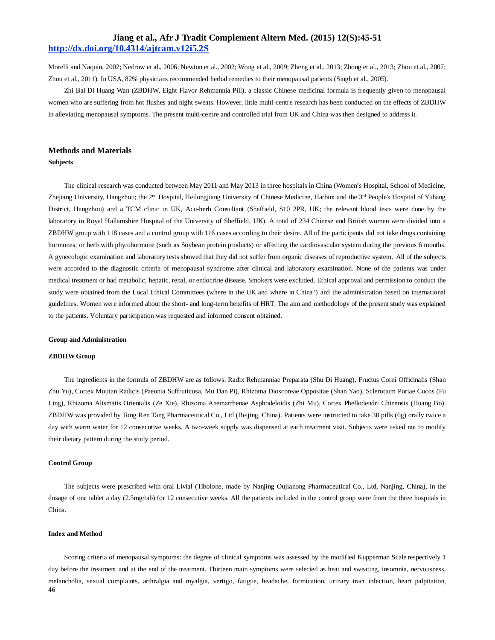Morelli and Naquin, 2002; Nedrow et al., 2006; Newton et al., 2002; Wong et al., 2009; Zheng et al., 2013; Zhong et al., 2013; Zhou et al., 2007; Zhou et al., 2011). In USA, 82% physicians recommended herbal remedies to their menopausal patients (Singh et al., 2005).

Zhi Bai Di Huang Wan (ZBDHW, Eight Flavor Rehmannia Pill), a classic Chinese medicinal formula is frequently given to menopausal women who are suffering from hot flushes and night sweats. However, little multi-centre research has been conducted on the effects of ZBDHW in alleviating menopausal symptoms. The present multi-centre and controlled trial from UK and China was then designed to address it.

# **Methods and Materials**

## **Subjects**

The clinical research was conducted between May 2011 and May 2013 in three hospitals in China (Women's Hospital, School of Medicine, Zhejiang University, Hangzhou; the 2<sup>nd</sup> Hospital, Heilongjiang University of Chinese Medicine, Harbin; and the 3<sup>rd</sup> People's Hospital of Yuhang District, Hangzhou) and a TCM clinic in UK, Acu-herb Consultant (Sheffield, S10 2PR, UK; the relevant blood tests were done by the laboratory in Royal Hallamshire Hospital of the University of Sheffield, UK). A total of 234 Chinese and British women were divided into a ZBDHW group with 118 cases and a control group with 116 cases according to their desire. All of the participants did not take drugs containing hormones, or herb with phytohormone (such as Soybean protein products) or affecting the cardiovascular system during the previous 6 months. A gynecologic examination and laboratory tests showed that they did not suffer from organic diseases of reproductive system.All of the subjects were accorded to the diagnostic criteria of menopausal syndrome after clinical and laboratory examination. None of the patients was under medical treatment or had metabolic, hepatic, renal, or endocrine disease. Smokers were excluded. Ethical approval and permission to conduct the study were obtained from the Local Ethical Committees (where in the UK and where in China?) and the administration based on international guidelines. Women were informed about the short- and long-term benefits of HRT. The aim and methodology of the present study was explained to the patients. Voluntary participation was requested and informed consent obtained.

#### **Group and Administration**

#### **ZBDHWGroup**

The ingredients in the formula of ZBDHW are as follows: Radix Rehmanniae Preparata (Shu Di Huang), Fructus Corni Officinalis (Shan Zhu Yu), Cortex Moutan Radicis (Paeonia Suffruticosa, Mu Dan Pi), Rhizoma Dioscoreae Oppositae (Shan Yao), Sclerotium Poriae Cocos (Fu Ling), Rhizoma Alismatis Orientalis (Ze Xie), Rhizoma Anemarrhenae Asphodeloidis (Zhi Mu), Cortex Phellodendri Chinensis (Huang Bo). ZBDHW was provided by Tong Ren Tang Pharmaceutical Co., Ltd (Beijing, China). Patients were instructed to take 30 pills (6g) orally twice a day with warm water for 12 consecutive weeks. A two-week supply was dispensed at each treatment visit. Subjects were asked not to modify their dietary pattern during the study period.

#### **Control Group**

The subjects were prescribed with oral Livial (Tibolone, made by Nanjing Oujianong Pharmaceutical Co., Ltd, Nanjing, China), in the dosage of one tablet a day (2.5mg/tab) for 12 consecutive weeks. All the patients included in the control group were from the three hospitals in China.

### **Index and Method**

46 Scoring criteria of menopausal symptoms: the degree of clinical symptoms was assessed by the modified Kupperman Scale respectively 1 day before the treatment and at the end of the treatment. Thirteen main symptoms were selected as heat and sweating, insomnia, nervousness, melancholia, sexual complaints, arthralgia and myalgia, vertigo, fatigue, headache, formication, urinary tract infection, heart palpitation,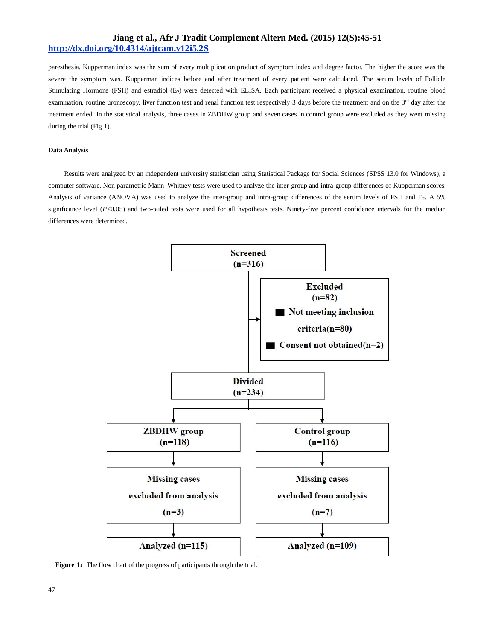paresthesia. Kupperman index was the sum of every multiplication product of symptom index and degree factor. The higher the score was the severe the symptom was. Kupperman indices before and after treatment of every patient were calculated. The serum levels of Follicle Stimulating Hormone (FSH) and estradiol (E2) were detected with ELISA. Each participant received a physical examination, routine blood examination, routine uronoscopy, liver function test and renal function test respectively 3 days before the treatment and on the 3<sup>rd</sup> day after the treatment ended. In the statistical analysis, three cases in ZBDHW group and seven cases in control group were excluded as they went missing during the trial (Fig 1).

### **Data Analysis**

Results were analyzed by an independent university statistician using Statistical Package for Social Sciences (SPSS 13.0 for Windows), a computer software. Non-parametric Mann–Whitney tests were used to analyze the inter-group and intra-group differences of Kupperman scores. Analysis of variance (ANOVA) was used to analyze the inter-group and intra-group differences of the serum levels of FSH and E2. A 5% significance level (*P*<0.05) and two-tailed tests were used for all hypothesis tests. Ninety-five percent confidence intervals for the median differences were determined.



Figure 1: The flow chart of the progress of participants through the trial.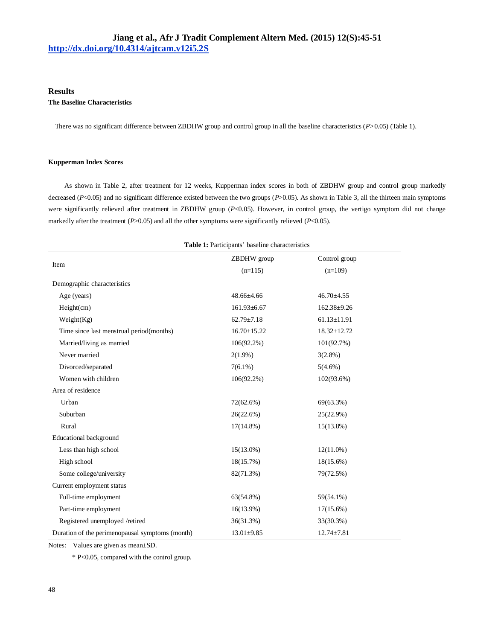## **Results**

## **The Baseline Characteristics**

There was no significant difference between ZBDHW group and control group in all the baseline characteristics (*P>*0.05) (Table 1).

#### **Kupperman Index Scores**

As shown in Table 2, after treatment for 12 weeks, Kupperman index scores in both of ZBDHW group and control group markedly decreased (*P*<0.05) and no significant difference existed between the two groups (*P*>0.05). As shown in Table 3, all the thirteen main symptoms were significantly relieved after treatment in ZBDHW group (*P*<0.05). However, in control group, the vertigo symptom did not change markedly after the treatment ( $P > 0.05$ ) and all the other symptoms were significantly relieved ( $P < 0.05$ ).

| Table 1: Participants' baseline characteristics |                   |                   |  |  |  |
|-------------------------------------------------|-------------------|-------------------|--|--|--|
|                                                 | ZBDHW group       | Control group     |  |  |  |
| Item                                            | $(n=115)$         | $(n=109)$         |  |  |  |
| Demographic characteristics                     |                   |                   |  |  |  |
| Age (years)                                     | $48.66 \pm 4.66$  | $46.70 \pm 4.55$  |  |  |  |
| Height(cm)                                      | $161.93 \pm 6.67$ | $162.38 + 9.26$   |  |  |  |
| Weight $(Kg)$                                   | $62.79 \pm 7.18$  | $61.13 \pm 11.91$ |  |  |  |
| Time since last menstrual period(months)        | $16.70 \pm 15.22$ | $18.32 \pm 12.72$ |  |  |  |
| Married/living as married                       | $106(92.2\%)$     | 101(92.7%)        |  |  |  |
| Never married                                   | $2(1.9\%)$        | $3(2.8\%)$        |  |  |  |
| Divorced/separated                              | $7(6.1\%)$        | $5(4.6\%)$        |  |  |  |
| Women with children                             | $106(92.2\%)$     | 102(93.6%)        |  |  |  |
| Area of residence                               |                   |                   |  |  |  |
| Urban                                           | 72(62.6%)         | 69(63.3%)         |  |  |  |
| Suburban                                        | 26(22.6%)         | 25(22.9%)         |  |  |  |
| Rural                                           | $17(14.8\%)$      | $15(13.8\%)$      |  |  |  |
| Educational background                          |                   |                   |  |  |  |
| Less than high school                           | $15(13.0\%)$      | $12(11.0\%)$      |  |  |  |
| High school                                     | 18(15.7%)         | $18(15.6\%)$      |  |  |  |
| Some college/university                         | 82(71.3%)         | 79(72.5%)         |  |  |  |
| Current employment status                       |                   |                   |  |  |  |
| Full-time employment                            | 63(54.8%)         | 59(54.1%)         |  |  |  |
| Part-time employment                            | $16(13.9\%)$      | $17(15.6\%)$      |  |  |  |
| Registered unemployed /retired                  | 36(31.3%)         | 33(30.3%)         |  |  |  |
| Duration of the perimenopausal symptoms (month) | $13.01 \pm 9.85$  | $12.74 \pm 7.81$  |  |  |  |

Notes: Values are given as mean±SD.

\* P<0.05, compared with the control group.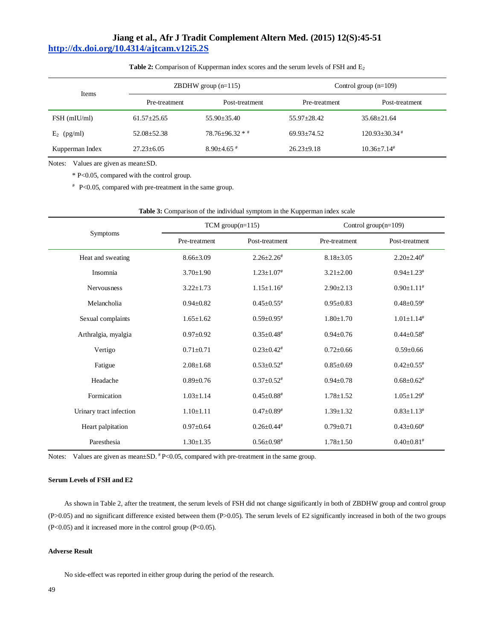| <b>Items</b>    | ZBDHW group $(n=115)$ |                     |                  | Control group $(n=109)$         |  |
|-----------------|-----------------------|---------------------|------------------|---------------------------------|--|
|                 | Pre-treatment         | Post-treatment      | Pre-treatment    | Post-treatment                  |  |
| FSH (mIU/ml)    | $61.57 + 25.65$       | $55.90 + 35.40$     | $55.97 + 28.42$  | $35.68 + 21.64$                 |  |
| $E_2$ (pg/ml)   | $52.08 + 52.38$       | $78.76 + 96.32 *$ # | 69.93+74.52      | $120.93 \pm 30.34$ <sup>#</sup> |  |
| Kupperman Index | $27.23 \pm 6.05$      | $8.90 + 4.65$ #     | $26.23 \pm 9.18$ | $10.36 + 7.14$ #                |  |

Table 2: Comparison of Kupperman index scores and the serum levels of FSH and E<sub>2</sub>

Notes: Values are given as mean±SD.

\* P<0.05, compared with the control group.

# P<0.05, compared with pre-treatment in the same group.

| <b>Symptoms</b>         |                 | TCM group $(n=115)$  |                 | Control group $(n=109)$      |  |
|-------------------------|-----------------|----------------------|-----------------|------------------------------|--|
|                         | Pre-treatment   | Post-treatment       | Pre-treatment   | Post-treatment               |  |
| Heat and sweating       | $8.66 \pm 3.09$ | $2.26 \pm 2.26^{\#}$ | $8.18 \pm 3.05$ | $2.20 \pm 2.40^{\#}$         |  |
| Insomnia                | $3.70 \pm 1.90$ | $1.23 \pm 1.07$ #    | $3.21 \pm 2.00$ | $0.94 \pm 1.23$ #            |  |
| <b>Nervousness</b>      | $3.22 \pm 1.73$ | $1.15 \pm 1.16^{\#}$ | $2.90 \pm 2.13$ | $0.90 \pm 1.11$ <sup>#</sup> |  |
| Melancholia             | $0.94 \pm 0.82$ | $0.45 \pm 0.55$ #    | $0.95 \pm 0.83$ | $0.48 \pm 0.59$ #            |  |
| Sexual complaints       | $1.65 \pm 1.62$ | $0.59 \pm 0.95$ #    | $1.80 \pm 1.70$ | $1.01 \pm 1.14$ <sup>#</sup> |  |
| Arthralgia, myalgia     | $0.97 \pm 0.92$ | $0.35 \pm 0.48$ #    | $0.94 \pm 0.76$ | $0.44 \pm 0.58$ #            |  |
| Vertigo                 | $0.71 \pm 0.71$ | $0.23 \pm 0.42$ #    | $0.72 \pm 0.66$ | $0.59 \pm 0.66$              |  |
| Fatigue                 | $2.08 \pm 1.68$ | $0.53 \pm 0.52$ #    | $0.85 \pm 0.69$ | $0.42 \pm 0.55$ <sup>#</sup> |  |
| Headache                | $0.89 \pm 0.76$ | $0.37 \pm 0.52$ #    | $0.94 \pm 0.78$ | $0.68 \pm 0.62$ #            |  |
| Formication             | $1.03 \pm 1.14$ | $0.45 \pm 0.88$ #    | $1.78 \pm 1.52$ | $1.05 \pm 1.29^{\#}$         |  |
| Urinary tract infection | $1.10 \pm 1.11$ | $0.47 \pm 0.89$ #    | $1.39 \pm 1.32$ | $0.83 \pm 1.13$ <sup>#</sup> |  |
| Heart palpitation       | $0.97 \pm 0.64$ | $0.26 \pm 0.44$ #    | $0.79 \pm 0.71$ | $0.43 \pm 0.60^{\#}$         |  |
| Paresthesia             | $1.30 \pm 1.35$ | $0.56 \pm 0.98$ #    | $1.78 \pm 1.50$ | $0.40 \pm 0.81$ #            |  |

**Table 3:** Comparison of the individual symptom in the Kupperman index scale

Notes: Values are given as mean±SD.  $*P<0.05$ , compared with pre-treatment in the same group.

## **Serum Levels of FSH and E2**

As shown in Table 2, after the treatment, the serum levels of FSH did not change significantly in both of ZBDHW group and control group (P>0.05) and no significant difference existed between them (P>0.05). The serum levels of E2 significantly increased in both of the two groups (P<0.05) and it increased more in the control group (P<0.05).

## **Adverse Result**

No side-effect was reported in either group during the period of the research.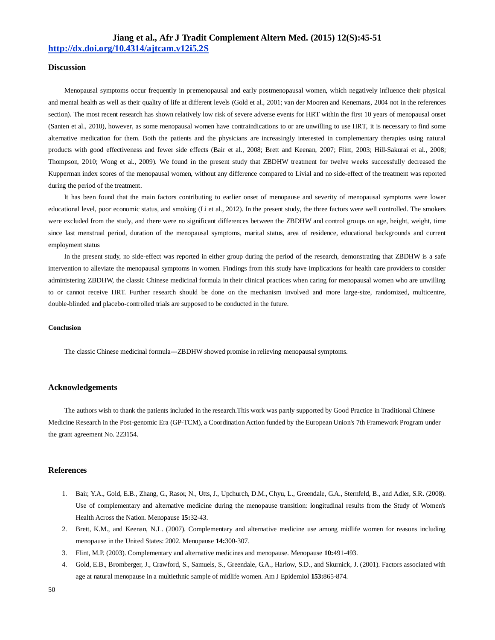#### **Discussion**

Menopausal symptoms occur frequently in premenopausal and early postmenopausal women, which negatively influence their physical and mental health as well as their quality of life at different levels (Gold et al., 2001; van der Mooren and Kenemans, 2004 not in the references section). The most recent research has shown relatively low risk of severe adverse events for HRT within the first 10 years of menopausal onset (Santen et al., 2010), however, as some menopausal women have contraindications to or are unwilling to use HRT, it is necessary to find some alternative medication for them. Both the patients and the physicians are increasingly interested in complementary therapies using natural products with good effectiveness and fewer side effects (Bair et al., 2008; Brett and Keenan, 2007; Flint, 2003; Hill-Sakurai et al., 2008; Thompson, 2010; Wong et al., 2009). We found in the present study that ZBDHW treatment for twelve weeks successfully decreased the Kupperman index scores of the menopausal women, without any difference compared to Livial and no side-effect of the treatment was reported during the period of the treatment.

It has been found that the main factors contributing to earlier onset of menopause and severity of menopausal symptoms were lower educational level, poor economic status, and smoking (Li et al., 2012). In the present study, the three factors were well controlled. The smokers were excluded from the study, and there were no significant differences between the ZBDHW and control groups on age, height, weight, time since last menstrual period, duration of the menopausal symptoms, marital status, area of residence, educational backgrounds and current employment status

In the present study, no side-effect was reported in either group during the period of the research, demonstrating that ZBDHW is a safe intervention to alleviate the menopausal symptoms in women. Findings from this study have implications for health care providers to consider administering ZBDHW, the classic Chinese medicinal formula in their clinical practices when caring for menopausal women who are unwilling to or cannot receive HRT. Further research should be done on the mechanism involved and more large-size, randomized, multicentre, double-blinded and placebo-controlled trials are supposed to be conducted in the future.

#### **Conclusion**

The classic Chinese medicinal formula---ZBDHW showed promise in relieving menopausal symptoms.

#### **Acknowledgements**

The authors wish to thank the patients included in the research.This work was partly supported by Good Practice in Traditional Chinese Medicine Research in the Post-genomic Era (GP-TCM), a Coordination Action funded by the European Union's 7th Framework Program under the grant agreement No. 223154.

#### **References**

- 1. Bair, Y.A., Gold, E.B., Zhang, G., Rasor, N., Utts, J., Upchurch, D.M., Chyu, L., Greendale, G.A., Sternfeld, B., and Adler, S.R. (2008). Use of complementary and alternative medicine during the menopause transition: longitudinal results from the Study of Women's Health Across the Nation. Menopause **15:**32-43.
- 2. Brett, K.M., and Keenan, N.L. (2007). Complementary and alternative medicine use among midlife women for reasons including menopause in the United States: 2002. Menopause **14:**300-307.
- 3. Flint, M.P. (2003). Complementary and alternative medicines and menopause. Menopause **10:**491-493.
- 4. Gold, E.B., Bromberger, J., Crawford, S., Samuels, S., Greendale, G.A., Harlow, S.D., and Skurnick, J. (2001). Factors associated with age at natural menopause in a multiethnic sample of midlife women. Am J Epidemiol **153:**865-874.